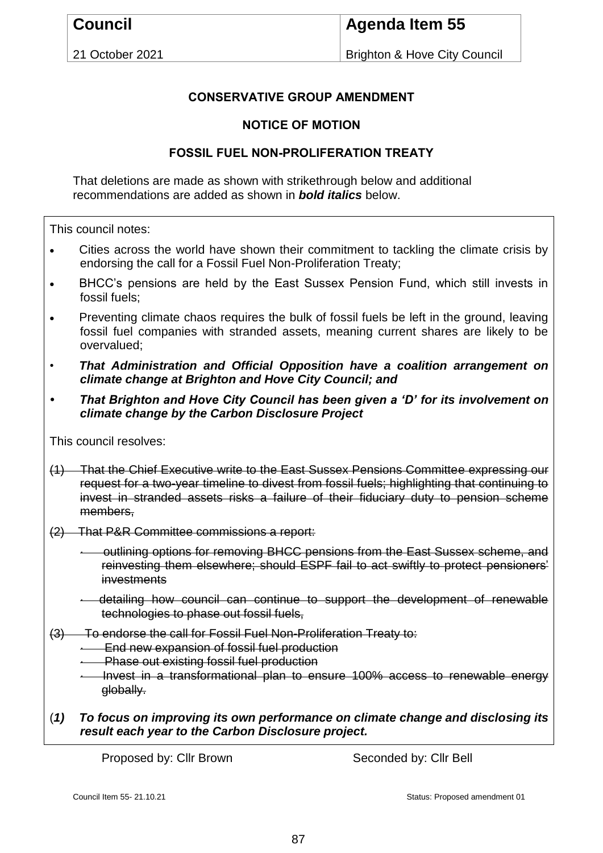21 October 2021

# **Agenda Item 55**

Brighton & Hove City Council

## **CONSERVATIVE GROUP AMENDMENT**

#### **NOTICE OF MOTION**

### **FOSSIL FUEL NON-PROLIFERATION TREATY**

That deletions are made as shown with strikethrough below and additional recommendations are added as shown in *bold italics* below.

This council notes:

- Cities across the world have shown their commitment to tackling the climate crisis by endorsing the call for a Fossil Fuel Non-Proliferation Treaty;
- BHCC's pensions are held by the East Sussex Pension Fund, which still invests in fossil fuels;
- Preventing climate chaos requires the bulk of fossil fuels be left in the ground, leaving fossil fuel companies with stranded assets, meaning current shares are likely to be overvalued;
- *That Administration and Official Opposition have a coalition arrangement on climate change at Brighton and Hove City Council; and*
- *• That Brighton and Hove City Council has been given a 'D' for its involvement on climate change by the Carbon Disclosure Project*

This council resolves:

- (1) That the Chief Executive write to the East Sussex Pensions Committee expressing our request for a two-year timeline to divest from fossil fuels; highlighting that continuing to invest in stranded assets risks a failure of their fiduciary duty to pension scheme members.
- (2) That P&R Committee commissions a report:
	- outlining options for removing BHCC pensions from the East Sussex scheme, and reinvesting them elsewhere; should ESPF fail to act swiftly to protect pensioners' investments
	- · detailing how council can continue to support the development of renewable technologies to phase out fossil fuels,
- (3) To endorse the call for Fossil Fuel Non-Proliferation Treaty to:
	- **End new expansion of fossil fuel production**
	- · Phase out existing fossil fuel production
	- · Invest in a transformational plan to ensure 100% access to renewable energy globally.
- (*1) To focus on improving its own performance on climate change and disclosing its result each year to the Carbon Disclosure project.*

Proposed by: Cllr Brown Seconded by: Cllr Bell

Council Item 55- 21.10.21 Council Item 55- 21.10.21